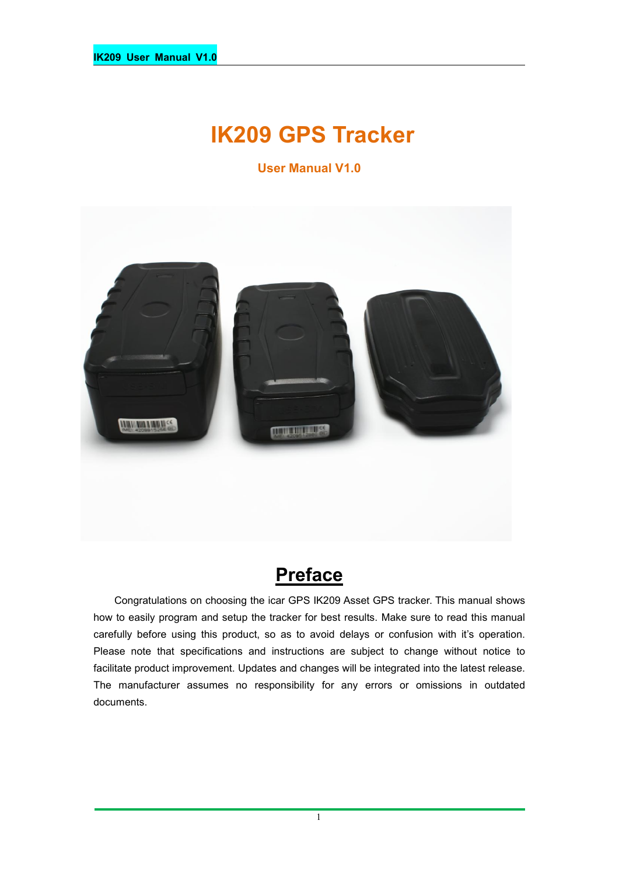# **IK209 GPS Tracker**

**User Manual V1.0**



# **Preface**

Congratulations on choosing the icar GPS IK209 Asset GPS tracker. This manual shows how to easily program and setup the tracker for best results. Make sure to read this manual carefully before using this product, so as to avoid delays or confusion with it's operation. Please note that specifications and instructions are subject to change without notice to facilitate product improvement. Updates and changes will be integrated into the latest release. The manufacturer assumes no responsibility for any errors or omissions in outdated documents.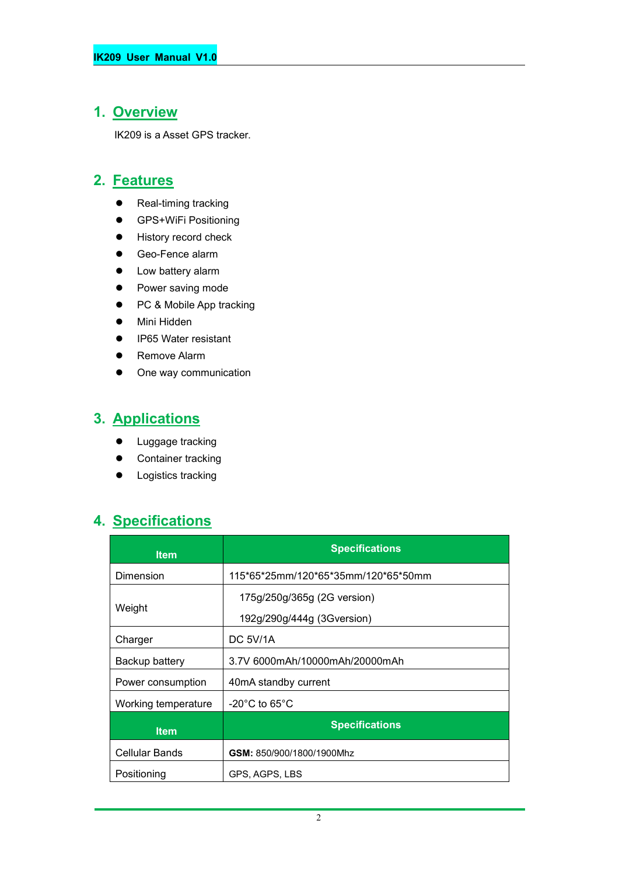### **1. Overview**

IK209 is a Asset GPS tracker.

### **2. Features**

- Real-timing tracking
- **•** GPS+WiFi Positioning
- **•** History record check
- Geo-Fence alarm
- Low battery alarm
- Power saving mode
- PC & Mobile App tracking
- Mini Hidden
- IP65 Water resistant
- **•** Remove Alarm
- One way communication

# **3. Applications**

- **•** Luggage tracking
- Container tracking
- **•** Logistics tracking

# **4. Specifications**

| <b>Item</b>           | <b>Specifications</b>                                     |  |
|-----------------------|-----------------------------------------------------------|--|
| Dimension             | 115*65*25mm/120*65*35mm/120*65*50mm                       |  |
| Weight                | 175g/250g/365g (2G version)<br>192g/290g/444g (3Gversion) |  |
| Charger               | DC 5V/1A                                                  |  |
| Backup battery        | 3.7V 6000mAh/10000mAh/20000mAh                            |  |
| Power consumption     | 40mA standby current                                      |  |
| Working temperature   | $-20^{\circ}$ C to 65 $^{\circ}$ C                        |  |
| <b>Item</b>           | <b>Specifications</b>                                     |  |
| <b>Cellular Bands</b> | GSM: 850/900/1800/1900Mhz                                 |  |
| Positioning           | GPS, AGPS, LBS                                            |  |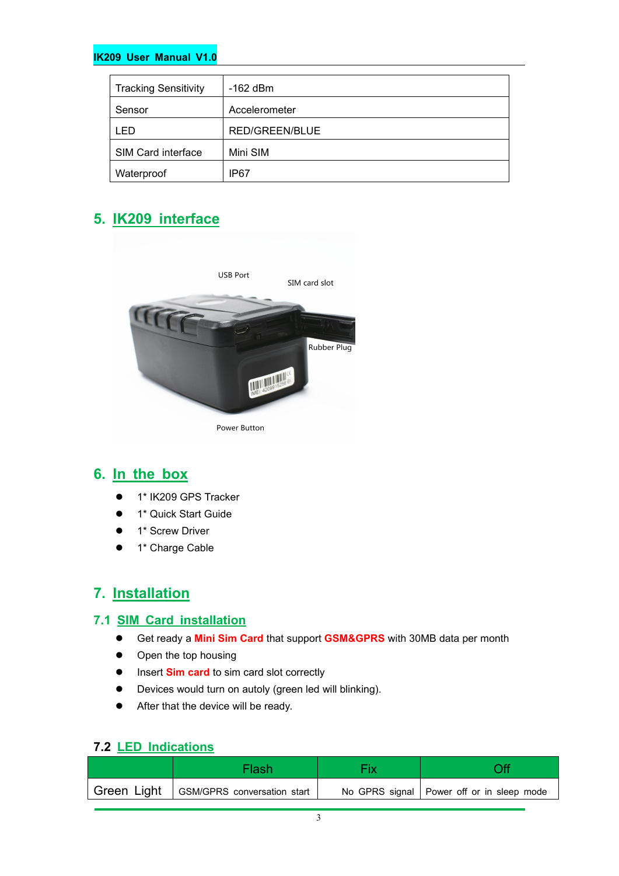#### **IK209 User Manual V1.0**

| <b>Tracking Sensitivity</b> | $-162$ dBm     |
|-----------------------------|----------------|
| Sensor                      | Accelerometer  |
| LED.                        | RED/GREEN/BLUE |
| SIM Card interface          | Mini SIM       |
| Waterproof                  | IP67           |

### **5. IK209 interface**



### **6. In the box**

- 1\* IK209 GPS Tracker
- **1\* Quick Start Guide**
- 1\* Screw Driver
- $\bullet$  1\* Charge Cable

### **7. Installation**

#### **7.1 SIM Card installation**

- Get ready a **MiniSim Card** that support **GSM&GPRS** with30MB data per month
- Open the top housing
- **Insert Sim card** to sim card slot correctly
- Devices would turn on autoly (green led will blinking).
- After that the device will be ready.

### **7.2 LED Indications**

|             | Flash                       |                                             |
|-------------|-----------------------------|---------------------------------------------|
| Green Light | GSM/GPRS conversation start | No GPRS signal   Power off or in sleep mode |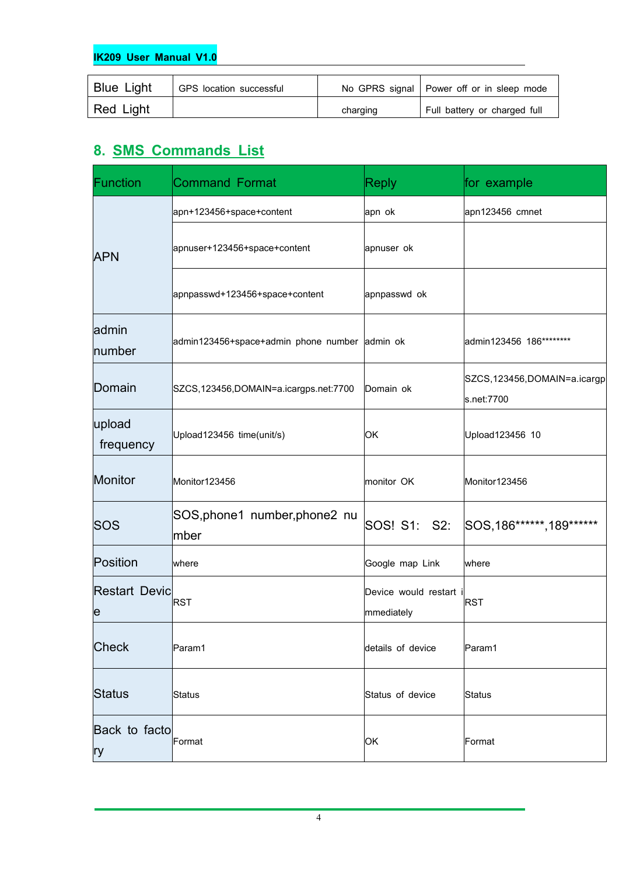#### **IK209 User Manual V1.0**

| <b>Blue Light</b> | GPS location successful |          | No GPRS signal   Power off or in sleep mode |
|-------------------|-------------------------|----------|---------------------------------------------|
| Red Light         |                         | charging | Full battery or charged full                |

# **8. SMS Commands List**

| Function                  | <b>Command Format</b>                         | <b>Reply</b>                       | for example                                 |
|---------------------------|-----------------------------------------------|------------------------------------|---------------------------------------------|
|                           | apn+123456+space+content                      | apn ok                             | apn123456 cmnet                             |
| <b>APN</b>                | apnuser+123456+space+content                  | apnuser ok                         |                                             |
|                           | apnpasswd+123456+space+content                | apnpasswd ok                       |                                             |
| admin<br>number           | admin123456+space+admin phone number admin ok |                                    | admin123456 186********                     |
| Domain                    | SZCS,123456,DOMAIN=a.icargps.net:7700         | Domain ok                          | SZCS, 123456, DOMAIN=a.icargp<br>s.net:7700 |
| upload<br>frequency       | Upload123456 time(unit/s)                     | OK.                                | Upload123456 10                             |
| Monitor                   | Monitor123456                                 | monitor OK                         | Monitor123456                               |
| SOS                       | SOS, phone1 number, phone2 nu<br>mber         | SOS! S1: S2:                       | SOS, 186******, 189******                   |
| Position                  | where                                         | Google map Link                    | where                                       |
| <b>Restart Devic</b><br>e | <b>RST</b>                                    | Device would restart<br>mmediately | RST                                         |
| <b>Check</b>              | Param1                                        | details of device                  | Param1                                      |
| Status                    | Status                                        | Status of device                   | Status                                      |
| Back to facto<br>ry       | Format                                        | OK.                                | Format                                      |

4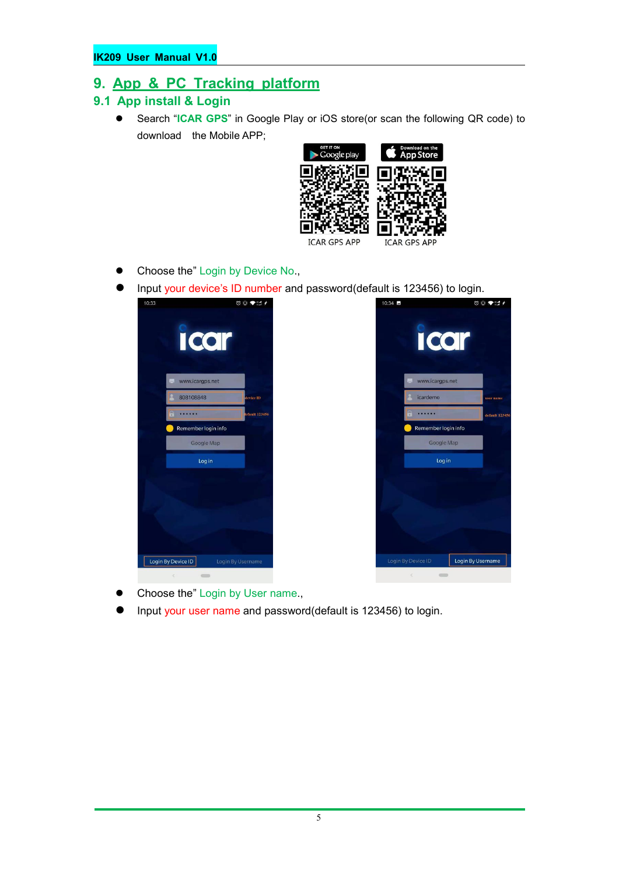# **9. App & PC Tracking platform**

- **9.1 App install & Login**
	- Search "**ICAR GPS**" in Google Play or iOS store(or scan the following QR code) to download the Mobile APP;



- Choose the" Login by Device No.,
- Input your device's ID number and password(default is 123456) to login.



- Choose the" Login by User name.,
- Input your user name and password(default is 123456) to login.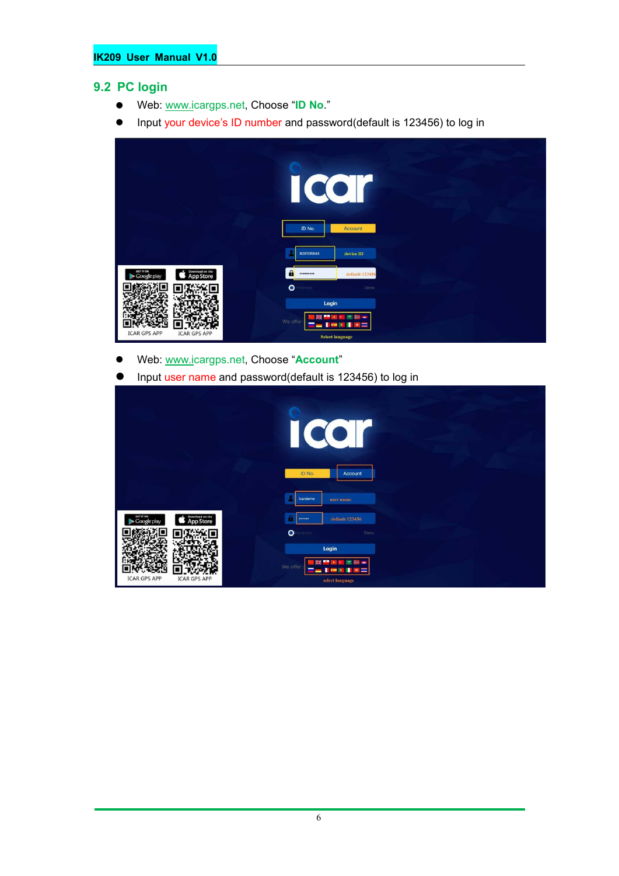#### **9.2 PC login**

- Web: [www.ic](http://www.trackits.com)argps.net, Choose "**ID No**."
- Input your device's ID number and password(default is 123456) to log in

|                                                          | I<br>CO<br>ID No.<br>Account                                                                        |  |
|----------------------------------------------------------|-----------------------------------------------------------------------------------------------------|--|
|                                                          | 808108848<br>device ID                                                                              |  |
| GIT IT ON<br>Google play<br>Download on the<br>App Store | $\mathbf{a}$<br>default 123456<br><br>$\bullet$ Penember<br>Demo                                    |  |
| <b>ICAR GPS APP</b><br><b>ICAR GPS APP</b>               | Login<br>mar a<br><b>MA</b><br>We offer<br>$\blacksquare$<br>$\mathbf{r}$<br><b>Select language</b> |  |

- Web: [www.ic](http://www.trackits.com)argps.net, Choose "**Account**"
- Input user name and password(default is 123456) to log in

|                                                          | $\overline{\mathcal{C}}$<br>$\mathbb{R}^n$<br>ID No.<br>Account |
|----------------------------------------------------------|-----------------------------------------------------------------|
|                                                          | icardemo<br>user name                                           |
| GET IT ON<br>Download on the<br>App Store<br>Google play | default 123456<br>-                                             |
|                                                          | $\bullet$<br>erenber<br>Demo                                    |
|                                                          | Login<br>œ<br>渠<br>m<br>We offer                                |
| <b>ICAR GPS APP</b><br><b>ICAR GPS APP</b>               | select language                                                 |